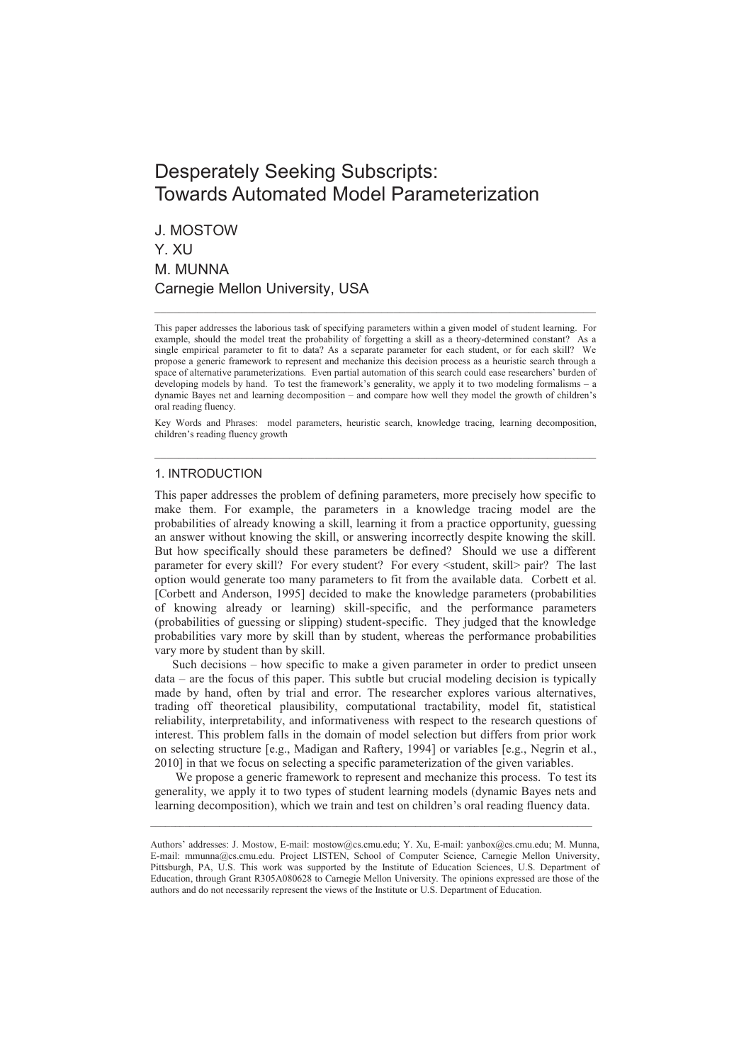# Desperately Seeking Subscripts: Towards Automated Model Parameterization

J. MOSTOW Y. XU M. MUNNA Carnegie Mellon University, USA

This paper addresses the laborious task of specifying parameters within a given model of student learning. For example, should the model treat the probability of forgetting a skill as a theory-determined constant? single empirical parameter to fit to data? As a separate parameter for each student, or for each skill? We propose a generic framework to represent and mechanize this decision process as a heuristic search through a space of alternative parameterizations. Even partial automation of this search could ease researchers' burden of developing models by hand. To test the framework's generality, we apply it to two modeling formalisms – a dynamic Bayes net and learning decomposition – and compare how well they model the growth of children's oral reading fluency.

 $\_$  , and the set of the set of the set of the set of the set of the set of the set of the set of the set of the set of the set of the set of the set of the set of the set of the set of the set of the set of the set of th

Key Words and Phrases: model parameters, heuristic search, knowledge tracing, learning decomposition, children's reading fluency growth  $\_$  , and the set of the set of the set of the set of the set of the set of the set of the set of the set of the set of the set of the set of the set of the set of the set of the set of the set of the set of the set of th

#### 1. INTRODUCTION

This paper addresses the problem of defining parameters, more precisely how specific to make them. For example, the parameters in a knowledge tracing model are the probabilities of already knowing a skill, learning it from a practice opportunity, guessing an answer without knowing the skill, or answering incorrectly despite knowing the skill. But how specifically should these parameters be defined? Should we use a different parameter for every skill? For every student? For every <student, skill> pair? The last option would generate too many parameters to fit from the available data. Corbett et al. [Corbett and Anderson, 1995] decided to make the knowledge parameters (probabilities of knowing already or learning) skill-specific, and the performance parameters (probabilities of guessing or slipping) student-specific. They judged that the knowledge probabilities vary more by skill than by student, whereas the performance probabilities vary more by student than by skill.

Such decisions – how specific to make a given parameter in order to predict unseen data – are the focus of this paper. This subtle but crucial modeling decision is typically made by hand, often by trial and error. The researcher explores various alternatives, trading off theoretical plausibility, computational tractability, model fit, statistical reliability, interpretability, and informativeness with respect to the research questions of interest. This problem falls in the domain of model selection but differs from prior work on selecting structure [e.g., Madigan and Raftery, 1994] or variables [e.g., Negrin et al., 2010] in that we focus on selecting a specific parameterization of the given variables.

 We propose a generic framework to represent and mechanize this process. To test its generality, we apply it to two types of student learning models (dynamic Bayes nets and learning decomposition), which we train and test on children's oral reading fluency data.

\_\_\_\_\_\_\_\_\_\_\_\_\_\_\_\_\_\_\_\_\_\_\_\_\_\_\_\_\_\_\_\_\_\_\_\_\_\_\_\_\_\_\_\_\_\_\_\_\_\_\_\_\_\_\_\_\_\_\_\_\_\_\_\_\_\_\_\_\_\_\_\_\_\_\_\_\_\_\_\_\_\_\_\_\_\_\_\_\_\_

Authors' addresses: J. Mostow, E-mail: mostow@cs.cmu.edu; Y. Xu, E-mail: yanbox@cs.cmu.edu; M. Munna, E-mail: mmunna@cs.cmu.edu. Project LISTEN, School of Computer Science, Carnegie Mellon University, Pittsburgh, PA, U.S. This work was supported by the Institute of Education Sciences, U.S. Department of Education, through Grant R305A080628 to Carnegie Mellon University. The opinions expressed are those of the authors and do not necessarily represent the views of the Institute or U.S. Department of Education.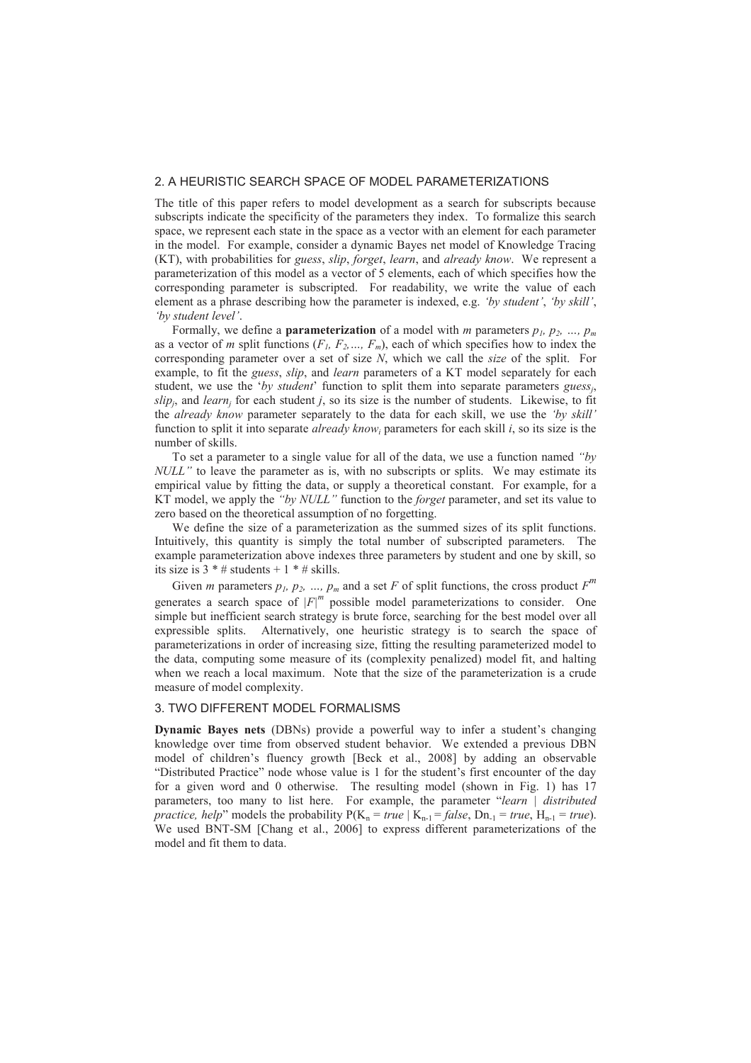## 2. A HEURISTIC SEARCH SPACE OF MODEL PARAMETERIZATIONS

The title of this paper refers to model development as a search for subscripts because subscripts indicate the specificity of the parameters they index. To formalize this search space, we represent each state in the space as a vector with an element for each parameter in the model. For example, consider a dynamic Bayes net model of Knowledge Tracing (KT), with probabilities for *guess*, *slip*, *forget*, *learn*, and *already know*. We represent a parameterization of this model as a vector of 5 elements, each of which specifies how the corresponding parameter is subscripted. For readability, we write the value of each element as a phrase describing how the parameter is indexed, e.g. *'by student'*, *'by skill'*, *'by student level'*.

Formally, we define a **parameterization** of a model with *m* parameters  $p_1$ ,  $p_2$ , ...,  $p_m$ as a vector of *m* split functions  $(F_1, F_2, \ldots, F_m)$ , each of which specifies how to index the corresponding parameter over a set of size *N*, which we call the *size* of the split. For example, to fit the *guess*, *slip*, and *learn* parameters of a KT model separately for each student, we use the '*by student*' function to split them into separate parameters *guess<sup>j</sup>* ,  $slip<sub>j</sub>$ , and *learn<sub>j</sub>* for each student *j*, so its size is the number of students. Likewise, to fit the *already know* parameter separately to the data for each skill, we use the *'by skill'*  function to split it into separate *already know<sub>i</sub>* parameters for each skill *i*, so its size is the number of skills.

To set a parameter to a single value for all of the data, we use a function named *"by NULL*" to leave the parameter as is, with no subscripts or splits. We may estimate its empirical value by fitting the data, or supply a theoretical constant. For example, for a KT model, we apply the *"by NULL"* function to the *forget* parameter, and set its value to zero based on the theoretical assumption of no forgetting.

We define the size of a parameterization as the summed sizes of its split functions. Intuitively, this quantity is simply the total number of subscripted parameters. The example parameterization above indexes three parameters by student and one by skill, so its size is  $3 * #$  students + 1  $* #$  skills.

Given *m* parameters  $p_1$ ,  $p_2$ , ...,  $p_m$  and a set *F* of split functions, the cross product  $F^m$ generates a search space of  $|F|^m$  possible model parameterizations to consider. One simple but inefficient search strategy is brute force, searching for the best model over all expressible splits. Alternatively, one heuristic strategy is to search the space of parameterizations in order of increasing size, fitting the resulting parameterized model to the data, computing some measure of its (complexity penalized) model fit, and halting when we reach a local maximum. Note that the size of the parameterization is a crude measure of model complexity.

#### 3. TWO DIFFERENT MODEL FORMALISMS

**Dynamic Bayes nets** (DBNs) provide a powerful way to infer a student's changing knowledge over time from observed student behavior. We extended a previous DBN model of children's fluency growth [Beck et al., 2008] by adding an observable "Distributed Practice" node whose value is 1 for the student's first encounter of the day for a given word and 0 otherwise. The resulting model (shown in Fig. 1) has 17 parameters, too many to list here. For example, the parameter "*learn | distributed practice, help*" models the probability  $P(K_n = true | K_{n-1} = false, D_{n-1} = true, H_{n-1} = true)$ . We used BNT-SM [Chang et al., 2006] to express different parameterizations of the model and fit them to data.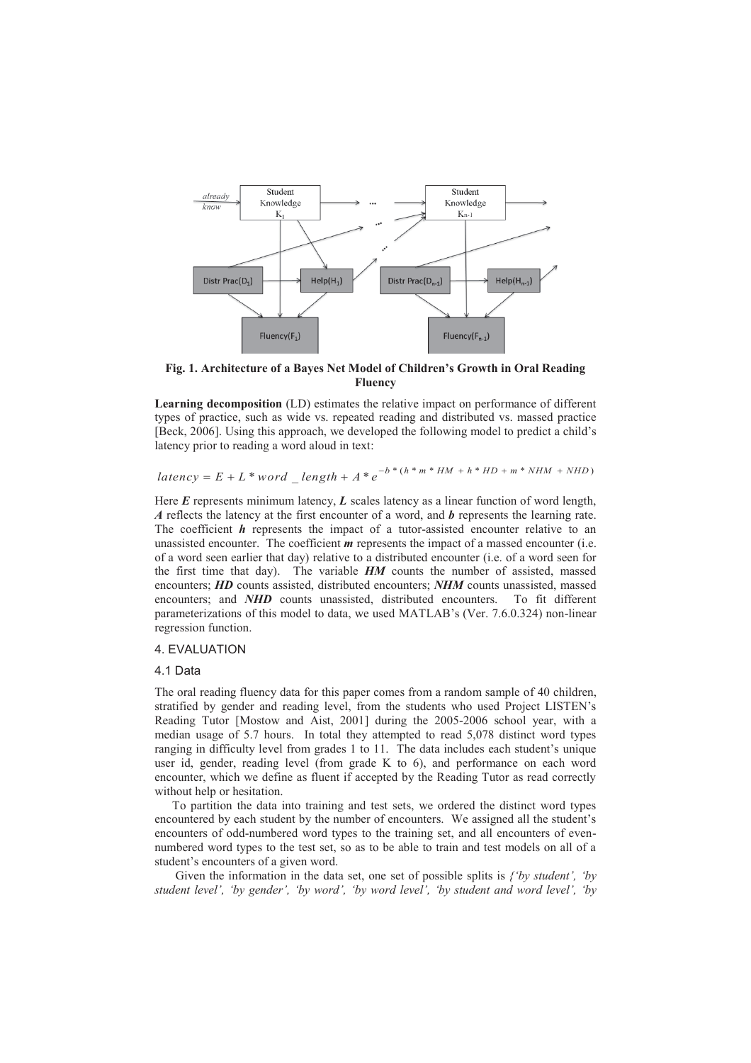

**Fig. 1. Architecture of a Bayes Net Model of Children's Growth in Oral Reading Fluency**

**Learning decomposition** (LD) estimates the relative impact on performance of different types of practice, such as wide vs. repeated reading and distributed vs. massed practice [Beck, 2006]. Using this approach, we developed the following model to predict a child's latency prior to reading a word aloud in text:

 $latency = E + L * word = length + A * e^{-b * (h * m * HM + h * HD + m * NHM + NHD)}$ 

Here *E* represents minimum latency, *L* scales latency as a linear function of word length, *A* reflects the latency at the first encounter of a word, and *b* represents the learning rate. The coefficient *h* represents the impact of a tutor-assisted encounter relative to an unassisted encounter. The coefficient *m* represents the impact of a massed encounter (i.e. of a word seen earlier that day) relative to a distributed encounter (i.e. of a word seen for the first time that day). The variable *HM* counts the number of assisted, massed encounters; *HD* counts assisted, distributed encounters; *NHM* counts unassisted, massed encounters; and **NHD** counts unassisted, distributed encounters. To fit different parameterizations of this model to data, we used MATLAB's (Ver. 7.6.0.324) non-linear regression function.

# 4. EVALUATION

#### 4.1 Data

The oral reading fluency data for this paper comes from a random sample of 40 children, stratified by gender and reading level, from the students who used Project LISTEN's Reading Tutor [Mostow and Aist, 2001] during the 2005-2006 school year, with a median usage of 5.7 hours. In total they attempted to read 5,078 distinct word types ranging in difficulty level from grades 1 to 11. The data includes each student's unique user id, gender, reading level (from grade K to 6), and performance on each word encounter, which we define as fluent if accepted by the Reading Tutor as read correctly without help or hesitation.

To partition the data into training and test sets, we ordered the distinct word types encountered by each student by the number of encounters. We assigned all the student's encounters of odd-numbered word types to the training set, and all encounters of evennumbered word types to the test set, so as to be able to train and test models on all of a student's encounters of a given word.

 Given the information in the data set, one set of possible splits is *{'by student', 'by*  student level', 'by gender', 'by word', 'by word level', 'by student and word level', 'by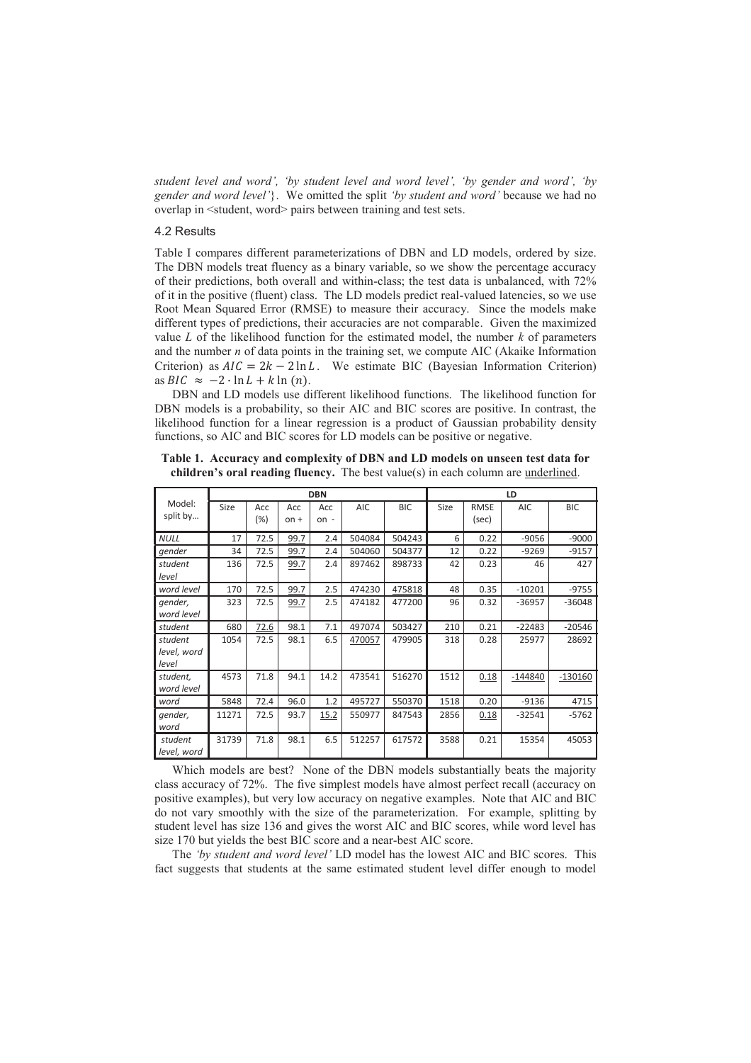*student level and word', 'by student level and word level', 'by gender and word', 'by gender and word level'*}. We omitted the split *'by student and word'* because we had no overlap in <student, word> pairs between training and test sets.

# 4.2 Results

Table I compares different parameterizations of DBN and LD models, ordered by size. The DBN models treat fluency as a binary variable, so we show the percentage accuracy of their predictions, both overall and within-class; the test data is unbalanced, with 72% of it in the positive (fluent) class. The LD models predict real-valued latencies, so we use Root Mean Squared Error (RMSE) to measure their accuracy. Since the models make different types of predictions, their accuracies are not comparable. Given the maximized value *L* of the likelihood function for the estimated model, the number *k* of parameters and the number *n* of data points in the training set, we compute AIC (Akaike Information Criterion) as  $AIC = 2k - 2 \ln L$ . We estimate BIC (Bayesian Information Criterion) as  $BIC \approx -2 \cdot \ln L + k \ln(n)$ .

DBN and LD models use different likelihood functions. The likelihood function for DBN models is a probability, so their AIC and BIC scores are positive. In contrast, the likelihood function for a linear regression is a product of Gaussian probability density functions, so AIC and BIC scores for LD models can be positive or negative.

|                  | <b>DBN</b> |        |        |        |            |            | LD   |             |            |            |
|------------------|------------|--------|--------|--------|------------|------------|------|-------------|------------|------------|
| Model:           | Size       | Acc    | Acc    | Acc    | <b>AIC</b> | <b>BIC</b> | Size | <b>RMSE</b> | <b>AIC</b> | <b>BIC</b> |
| split by         |            | $(\%)$ | $on +$ | $on -$ |            |            |      | (sec)       |            |            |
| <b>NULL</b>      | 17         | 72.5   | 99.7   | 2.4    | 504084     | 504243     | 6    | 0.22        | $-9056$    | $-9000$    |
| gender           | 34         | 72.5   | 99.7   | 2.4    | 504060     | 504377     | 12   | 0.22        | $-9269$    | $-9157$    |
| student<br>level | 136        | 72.5   | 99.7   | 2.4    | 897462     | 898733     | 42   | 0.23        | 46         | 427        |
| word level       | 170        | 72.5   | 99.7   | 2.5    | 474230     | 475818     | 48   | 0.35        | $-10201$   | $-9755$    |
| gender,          | 323        | 72.5   | 99.7   | 2.5    | 474182     | 477200     | 96   | 0.32        | $-36957$   | $-36048$   |
| word level       |            |        |        |        |            |            |      |             |            |            |
| student          | 680        | 72.6   | 98.1   | 7.1    | 497074     | 503427     | 210  | 0.21        | $-22483$   | $-20546$   |
| student          | 1054       | 72.5   | 98.1   | 6.5    | 470057     | 479905     | 318  | 0.28        | 25977      | 28692      |
| level, word      |            |        |        |        |            |            |      |             |            |            |
| level            |            |        |        |        |            |            |      |             |            |            |
| student,         | 4573       | 71.8   | 94.1   | 14.2   | 473541     | 516270     | 1512 | 0.18        | $-144840$  | $-130160$  |
| word level       |            |        |        |        |            |            |      |             |            |            |
| word             | 5848       | 72.4   | 96.0   | 1.2    | 495727     | 550370     | 1518 | 0.20        | $-9136$    | 4715       |
| gender,          | 11271      | 72.5   | 93.7   | 15.2   | 550977     | 847543     | 2856 | 0.18        | $-32541$   | $-5762$    |
| word             |            |        |        |        |            |            |      |             |            |            |
| student          | 31739      | 71.8   | 98.1   | 6.5    | 512257     | 617572     | 3588 | 0.21        | 15354      | 45053      |
| level, word      |            |        |        |        |            |            |      |             |            |            |

**Table 1. Accuracy and complexity of DBN and LD models on unseen test data for children's oral reading fluency.** The best value(s) in each column are underlined.

Which models are best? None of the DBN models substantially beats the majority class accuracy of 72%. The five simplest models have almost perfect recall (accuracy on positive examples), but very low accuracy on negative examples. Note that AIC and BIC do not vary smoothly with the size of the parameterization. For example, splitting by student level has size 136 and gives the worst AIC and BIC scores, while word level has size 170 but yields the best BIC score and a near-best AIC score.

The *'by student and word level'* LD model has the lowest AIC and BIC scores. This fact suggests that students at the same estimated student level differ enough to model